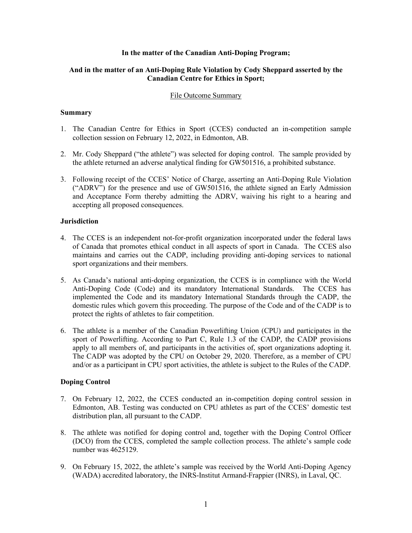### **In the matter of the Canadian Anti-Doping Program;**

# **And in the matter of an Anti-Doping Rule Violation by Cody Sheppard asserted by the Canadian Centre for Ethics in Sport;**

#### File Outcome Summary

#### **Summary**

- 1. The Canadian Centre for Ethics in Sport (CCES) conducted an in-competition sample collection session on February 12, 2022, in Edmonton, AB.
- 2. Mr. Cody Sheppard ("the athlete") was selected for doping control. The sample provided by the athlete returned an adverse analytical finding for GW501516, a prohibited substance.
- 3. Following receipt of the CCES' Notice of Charge, asserting an Anti-Doping Rule Violation ("ADRV") for the presence and use of GW501516, the athlete signed an Early Admission and Acceptance Form thereby admitting the ADRV, waiving his right to a hearing and accepting all proposed consequences.

## **Jurisdiction**

- 4. The CCES is an independent not-for-profit organization incorporated under the federal laws of Canada that promotes ethical conduct in all aspects of sport in Canada. The CCES also maintains and carries out the CADP, including providing anti-doping services to national sport organizations and their members.
- 5. As Canada's national anti-doping organization, the CCES is in compliance with the World Anti-Doping Code (Code) and its mandatory International Standards. The CCES has implemented the Code and its mandatory International Standards through the CADP, the domestic rules which govern this proceeding. The purpose of the Code and of the CADP is to protect the rights of athletes to fair competition.
- 6. The athlete is a member of the Canadian Powerlifting Union (CPU) and participates in the sport of Powerlifting. According to Part C, Rule 1.3 of the CADP, the CADP provisions apply to all members of, and participants in the activities of, sport organizations adopting it. The CADP was adopted by the CPU on October 29, 2020. Therefore, as a member of CPU and/or as a participant in CPU sport activities, the athlete is subject to the Rules of the CADP.

# **Doping Control**

- 7. On February 12, 2022, the CCES conducted an in-competition doping control session in Edmonton, AB. Testing was conducted on CPU athletes as part of the CCES' domestic test distribution plan, all pursuant to the CADP.
- 8. The athlete was notified for doping control and, together with the Doping Control Officer (DCO) from the CCES, completed the sample collection process. The athlete's sample code number was 4625129.
- 9. On February 15, 2022, the athlete's sample was received by the World Anti-Doping Agency (WADA) accredited laboratory, the INRS-Institut Armand-Frappier (INRS), in Laval, QC.